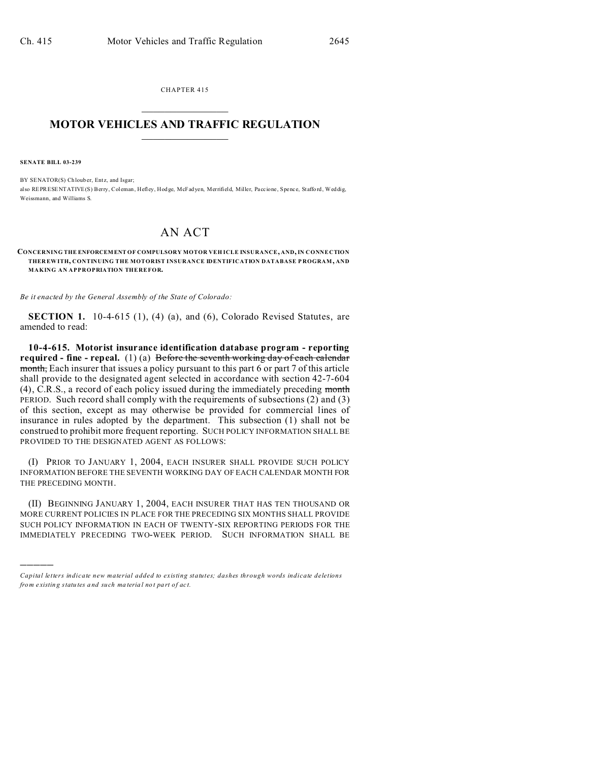CHAPTER 415  $\overline{\phantom{a}}$  , where  $\overline{\phantom{a}}$ 

## **MOTOR VEHICLES AND TRAFFIC REGULATION**  $\frac{1}{2}$  ,  $\frac{1}{2}$  ,  $\frac{1}{2}$  ,  $\frac{1}{2}$  ,  $\frac{1}{2}$  ,  $\frac{1}{2}$  ,  $\frac{1}{2}$

**SENATE BILL 03-239**

)))))

BY SENATOR(S) Chlouber, Entz, and Isgar; also REPRESENTATIVE(S) Berry, Coleman, Hefley, Hodge, McFadyen, Merrifield, Miller, Paccione, Spence, Stafford, Weddig, Weissmann, and Williams S.

## AN ACT

**CONCERNING THE ENFORCEMENT OF COMPULSORY MOTOR VEH ICLE INSURANCE, AND, IN CONNECTION THER EWITH, CONTINUING THE MOTORIST INSURANCE IDENTIFICATION DATABASE P ROGRAM, AND MAKING AN APPROPRIATION THEREFOR.**

*Be it enacted by the General Assembly of the State of Colorado:*

**SECTION 1.** 10-4-615 (1), (4) (a), and (6), Colorado Revised Statutes, are amended to read:

**10-4-615. Motorist insurance identification database program - reporting required - fine - repeal.** (1) (a) Before the seventh working day of each calendar month, Each insurer that issues a policy pursuant to this part 6 or part 7 of this article shall provide to the designated agent selected in accordance with section 42-7-604 (4), C.R.S., a record of each policy issued during the immediately preceding month PERIOD. Such record shall comply with the requirements of subsections (2) and (3) of this section, except as may otherwise be provided for commercial lines of insurance in rules adopted by the department. This subsection (1) shall not be construed to prohibit more frequent reporting. SUCH POLICY INFORMATION SHALL BE PROVIDED TO THE DESIGNATED AGENT AS FOLLOWS:

(I) PRIOR TO JANUARY 1, 2004, EACH INSURER SHALL PROVIDE SUCH POLICY INFORMATION BEFORE THE SEVENTH WORKING DAY OF EACH CALENDAR MONTH FOR THE PRECEDING MONTH.

(II) BEGINNING JANUARY 1, 2004, EACH INSURER THAT HAS TEN THOUSAND OR MORE CURRENT POLICIES IN PLACE FOR THE PRECEDING SIX MONTHS SHALL PROVIDE SUCH POLICY INFORMATION IN EACH OF TWENTY-SIX REPORTING PERIODS FOR THE IMMEDIATELY PRECEDING TWO-WEEK PERIOD. SUCH INFORMATION SHALL BE

*Capital letters indicate new material added to existing statutes; dashes through words indicate deletions from e xistin g statu tes a nd such ma teria l no t pa rt of ac t.*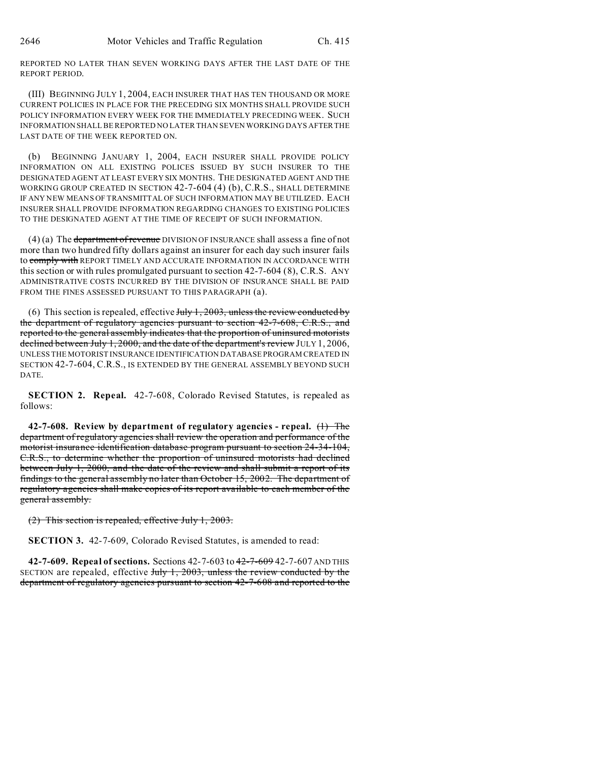REPORTED NO LATER THAN SEVEN WORKING DAYS AFTER THE LAST DATE OF THE REPORT PERIOD.

(III) BEGINNING JULY 1, 2004, EACH INSURER THAT HAS TEN THOUSAND OR MORE CURRENT POLICIES IN PLACE FOR THE PRECEDING SIX MONTHS SHALL PROVIDE SUCH POLICY INFORMATION EVERY WEEK FOR THE IMMEDIATELY PRECEDING WEEK. SUCH INFORMATION SHALL BE REPORTED NO LATER THAN SEVEN WORKING DAYS AFTER THE LAST DATE OF THE WEEK REPORTED ON.

(b) BEGINNING JANUARY 1, 2004, EACH INSURER SHALL PROVIDE POLICY INFORMATION ON ALL EXISTING POLICES ISSUED BY SUCH INSURER TO THE DESIGNATED AGENT AT LEAST EVERY SIX MONTHS. THE DESIGNATED AGENT AND THE WORKING GROUP CREATED IN SECTION 42-7-604 (4) (b), C.R.S., SHALL DETERMINE IF ANY NEW MEANS OF TRANSMITTAL OF SUCH INFORMATION MAY BE UTILIZED. EACH INSURER SHALL PROVIDE INFORMATION REGARDING CHANGES TO EXISTING POLICIES TO THE DESIGNATED AGENT AT THE TIME OF RECEIPT OF SUCH INFORMATION.

(4) (a) The department of revenue DIVISION OF INSURANCE shall assess a fine of not more than two hundred fifty dollars against an insurer for each day such insurer fails to comply with REPORT TIMELY AND ACCURATE INFORMATION IN ACCORDANCE WITH this section or with rules promulgated pursuant to section 42-7-604 (8), C.R.S. ANY ADMINISTRATIVE COSTS INCURRED BY THE DIVISION OF INSURANCE SHALL BE PAID FROM THE FINES ASSESSED PURSUANT TO THIS PARAGRAPH (a).

(6) This section is repealed, effective  $July 1, 2003$ , unless the review conducted by the department of regulatory agencies pursuant to section 42-7-608, C.R.S., and reported to the general assembly indicates that the proportion of uninsured motorists declined between July 1, 2000, and the date of the department's review JULY 1, 2006, UNLESS THE MOTORIST INSURANCE IDENTIFICATION DATABASE PROGRAM CREATED IN SECTION 42-7-604, C.R.S., IS EXTENDED BY THE GENERAL ASSEMBLY BEYOND SUCH DATE.

**SECTION 2. Repeal.** 42-7-608, Colorado Revised Statutes, is repealed as follows:

**42-7-608. Review by department of regulatory agencies - repeal.** (1) The department of regulatory agencies shall review the operation and performance of the motorist insurance identification database program pursuant to section 24-34-104, C.R.S., to determine whether the proportion of uninsured motorists had declined between July 1, 2000, and the date of the review and shall submit a report of its findings to the general assembly no later than October 15, 2002. The department of regulatory agencies shall make copies of its report available to each member of the general assembly.

(2) This section is repealed, effective July 1, 2003.

**SECTION 3.** 42-7-609, Colorado Revised Statutes, is amended to read:

**42-7-609. Repeal of sections.** Sections 42-7-603 to 42-7-609 42-7-607 AND THIS SECTION are repealed, effective  $J_{\text{uly}}$  1, 2003, unless the review conducted by the department of regulatory agencies pursuant to section 42-7-608 and reported to the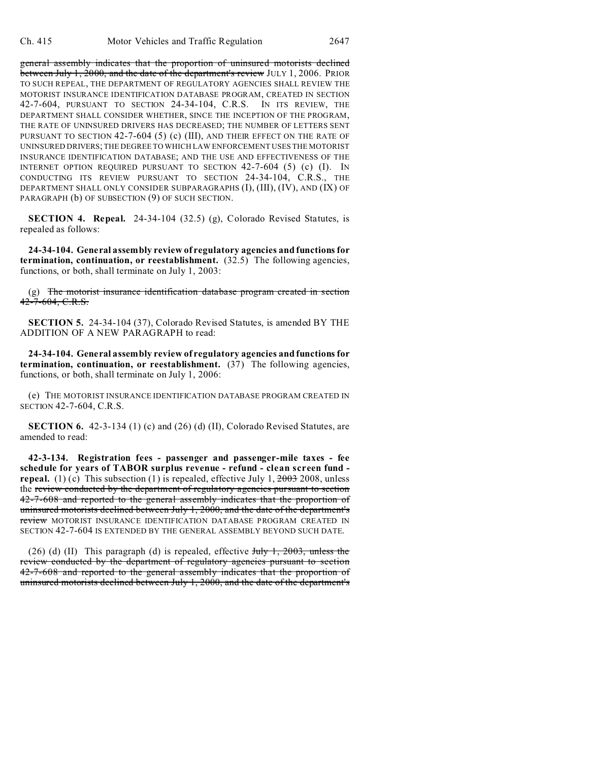general assembly indicates that the proportion of uninsured motorists declined between July 1, 2000, and the date of the department's review JULY 1, 2006. PRIOR TO SUCH REPEAL, THE DEPARTMENT OF REGULATORY AGENCIES SHALL REVIEW THE MOTORIST INSURANCE IDENTIFICATION DATABASE PROGRAM, CREATED IN SECTION 42-7-604, PURSUANT TO SECTION 24-34-104, C.R.S. IN ITS REVIEW, THE DEPARTMENT SHALL CONSIDER WHETHER, SINCE THE INCEPTION OF THE PROGRAM, THE RATE OF UNINSURED DRIVERS HAS DECREASED; THE NUMBER OF LETTERS SENT PURSUANT TO SECTION 42-7-604 (5) (c) (III), AND THEIR EFFECT ON THE RATE OF UNINSURED DRIVERS; THE DEGREE TO WHICH LAW ENFORCEMENT USES THE MOTORIST INSURANCE IDENTIFICATION DATABASE; AND THE USE AND EFFECTIVENESS OF THE INTERNET OPTION REQUIRED PURSUANT TO SECTION 42-7-604 (5) (c) (I). IN CONDUCTING ITS REVIEW PURSUANT TO SECTION 24-34-104, C.R.S., THE DEPARTMENT SHALL ONLY CONSIDER SUBPARAGRAPHS (I), (III), (IV), AND (IX) OF PARAGRAPH (b) OF SUBSECTION (9) OF SUCH SECTION.

**SECTION 4. Repeal.** 24-34-104 (32.5) (g), Colorado Revised Statutes, is repealed as follows:

**24-34-104. General assembly review of regulatory agencies and functions for termination, continuation, or reestablishment.** (32.5) The following agencies, functions, or both, shall terminate on July 1, 2003:

 $(g)$  The motorist insurance identification database program created in section 42-7-604, C.R.S.

**SECTION 5.** 24-34-104 (37), Colorado Revised Statutes, is amended BY THE ADDITION OF A NEW PARAGRAPH to read:

**24-34-104. General assembly review of regulatory agencies and functions for termination, continuation, or reestablishment.** (37) The following agencies, functions, or both, shall terminate on July 1, 2006:

(e) THE MOTORIST INSURANCE IDENTIFICATION DATABASE PROGRAM CREATED IN SECTION 42-7-604, C.R.S.

**SECTION 6.** 42-3-134 (1) (c) and (26) (d) (II), Colorado Revised Statutes, are amended to read:

**42-3-134. Registration fees - passenger and passenger-mile taxes - fee schedule for years of TABOR surplus revenue - refund - clean screen fund repeal.** (1) (c) This subsection (1) is repealed, effective July 1,  $\frac{2003}{2008}$ , unless the review conducted by the department of regulatory agencies pursuant to section 42-7-608 and reported to the general assembly indicates that the proportion of uninsured motorists declined between July 1, 2000, and the date of the department's review MOTORIST INSURANCE IDENTIFICATION DATABASE PROGRAM CREATED IN SECTION 42-7-604 IS EXTENDED BY THE GENERAL ASSEMBLY BEYOND SUCH DATE.

(26) (d) (II) This paragraph (d) is repealed, effective  $J_{\text{uly}}$  1, 2003, unless the review conducted by the department of regulatory agencies pursuant to section 42-7-608 and reported to the general assembly indicates that the proportion of uninsured motorists declined between July 1, 2000, and the date of the department's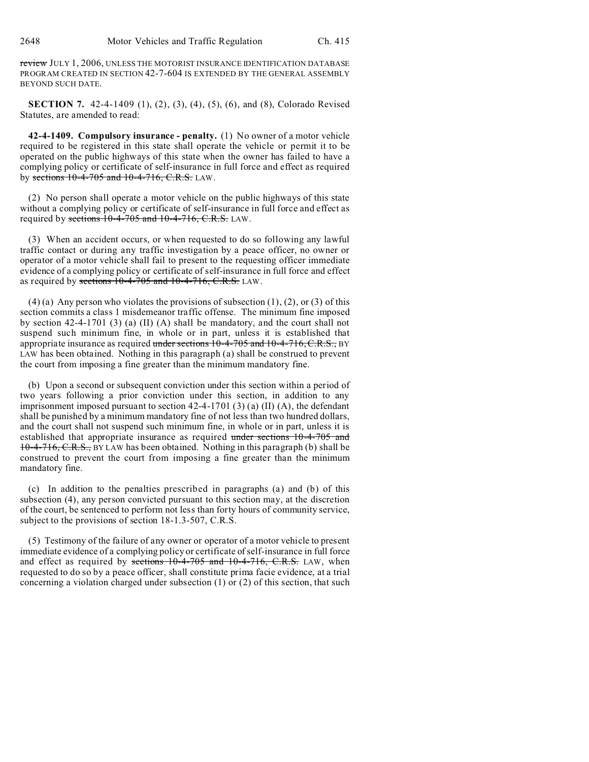review JULY 1, 2006, UNLESS THE MOTORIST INSURANCE IDENTIFICATION DATABASE PROGRAM CREATED IN SECTION 42-7-604 IS EXTENDED BY THE GENERAL ASSEMBLY BEYOND SUCH DATE.

**SECTION 7.** 42-4-1409 (1), (2), (3), (4), (5), (6), and (8), Colorado Revised Statutes, are amended to read:

**42-4-1409. Compulsory insurance - penalty.** (1) No owner of a motor vehicle required to be registered in this state shall operate the vehicle or permit it to be operated on the public highways of this state when the owner has failed to have a complying policy or certificate of self-insurance in full force and effect as required by sections 10-4-705 and 10-4-716, C.R.S. LAW.

(2) No person shall operate a motor vehicle on the public highways of this state without a complying policy or certificate of self-insurance in full force and effect as required by sections  $10-4-705$  and  $10-4-716$ , C.R.S. LAW.

(3) When an accident occurs, or when requested to do so following any lawful traffic contact or during any traffic investigation by a peace officer, no owner or operator of a motor vehicle shall fail to present to the requesting officer immediate evidence of a complying policy or certificate of self-insurance in full force and effect as required by sections  $10-4-705$  and  $10-4-716$ , C.R.S. LAW.

 $(4)$  (a) Any person who violates the provisions of subsection  $(1)$ ,  $(2)$ , or  $(3)$  of this section commits a class 1 misdemeanor traffic offense. The minimum fine imposed by section 42-4-1701 (3) (a) (II) (A) shall be mandatory, and the court shall not suspend such minimum fine, in whole or in part, unless it is established that appropriate insurance as required under sections 10-4-705 and 10-4-716, C.R.S., BY LAW has been obtained. Nothing in this paragraph (a) shall be construed to prevent the court from imposing a fine greater than the minimum mandatory fine.

(b) Upon a second or subsequent conviction under this section within a period of two years following a prior conviction under this section, in addition to any imprisonment imposed pursuant to section  $42-4-1701$  (3) (a) (II) (A), the defendant shall be punished by a minimum mandatory fine of not less than two hundred dollars, and the court shall not suspend such minimum fine, in whole or in part, unless it is established that appropriate insurance as required under sections 10-4-705 and 10-4-716, C.R.S., BY LAW has been obtained. Nothing in this paragraph (b) shall be construed to prevent the court from imposing a fine greater than the minimum mandatory fine.

(c) In addition to the penalties prescribed in paragraphs (a) and (b) of this subsection (4), any person convicted pursuant to this section may, at the discretion of the court, be sentenced to perform not less than forty hours of community service, subject to the provisions of section 18-1.3-507, C.R.S.

(5) Testimony of the failure of any owner or operator of a motor vehicle to present immediate evidence of a complying policy or certificate of self-insurance in full force and effect as required by sections  $10-4-705$  and  $10-4-716$ , C.R.S. LAW, when requested to do so by a peace officer, shall constitute prima facie evidence, at a trial concerning a violation charged under subsection (1) or (2) of this section, that such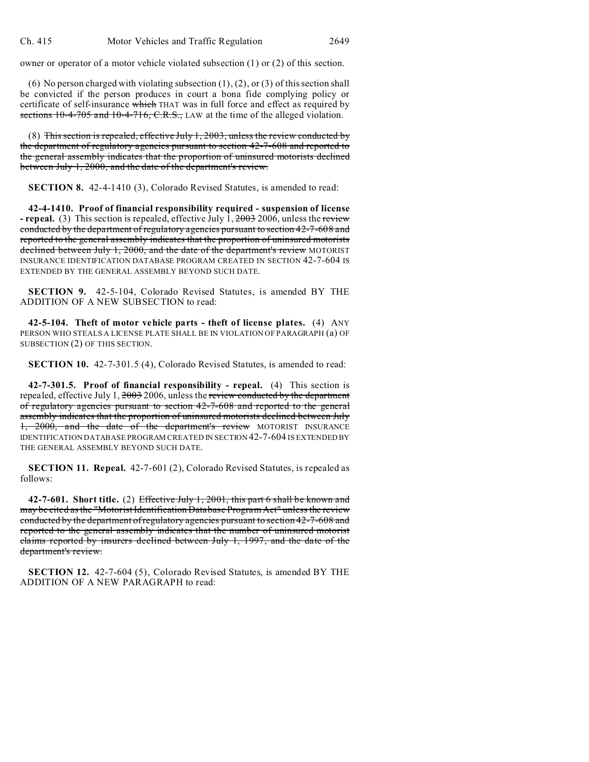owner or operator of a motor vehicle violated subsection (1) or (2) of this section.

(6) No person charged with violating subsection  $(1)$ ,  $(2)$ , or  $(3)$  of this section shall be convicted if the person produces in court a bona fide complying policy or certificate of self-insurance which THAT was in full force and effect as required by sections 10-4-705 and 10-4-716, C.R.S., LAW at the time of the alleged violation.

(8) This section is repealed, effective July  $1, 2003$ , unless the review conducted by the department of regulatory agencies pursuant to section 42-7-608 and reported to the general assembly indicates that the proportion of uninsured motorists declined between July 1, 2000, and the date of the department's review.

**SECTION 8.** 42-4-1410 (3), Colorado Revised Statutes, is amended to read:

**42-4-1410. Proof of financial responsibility required - suspension of license - repeal.** (3) This section is repealed, effective July 1, 2003 2006, unless the review conducted by the department of regulatory agencies pursuant to section 42-7-608 and reported to the general assembly indicates that the proportion of uninsured motorists declined between July 1, 2000, and the date of the department's review MOTORIST INSURANCE IDENTIFICATION DATABASE PROGRAM CREATED IN SECTION 42-7-604 IS EXTENDED BY THE GENERAL ASSEMBLY BEYOND SUCH DATE.

**SECTION 9.** 42-5-104, Colorado Revised Statutes, is amended BY THE ADDITION OF A NEW SUBSECTION to read:

**42-5-104. Theft of motor vehicle parts - theft of license plates.** (4) ANY PERSON WHO STEALS A LICENSE PLATE SHALL BE IN VIOLATION OF PARAGRAPH (a) OF SUBSECTION (2) OF THIS SECTION.

**SECTION 10.** 42-7-301.5 (4), Colorado Revised Statutes, is amended to read:

**42-7-301.5. Proof of financial responsibility - repeal.** (4) This section is repealed, effective July  $1, \frac{2003}{2006}$ , unless the review conducted by the department of regulatory agencies pursuant to section 42-7-608 and reported to the general assembly indicates that the proportion of uninsured motorists declined between July 1, 2000, and the date of the department's review MOTORIST INSURANCE IDENTIFICATION DATABASE PROGRAM CREATED IN SECTION 42-7-604 IS EXTENDED BY THE GENERAL ASSEMBLY BEYOND SUCH DATE.

**SECTION 11. Repeal.** 42-7-601 (2), Colorado Revised Statutes, is repealed as follows:

**42-7-601. Short title.** (2) Effective July 1, 2001, this part 6 shall be known and may be cited as the "Motorist Identification Database Program Act" unless the review conducted by the department of regulatory agencies pursuant to section 42-7-608 and reported to the general assembly indicates that the number of uninsured motorist claims reported by insurers declined between July 1, 1997, and the date of the department's review.

**SECTION 12.** 42-7-604 (5), Colorado Revised Statutes, is amended BY THE ADDITION OF A NEW PARAGRAPH to read: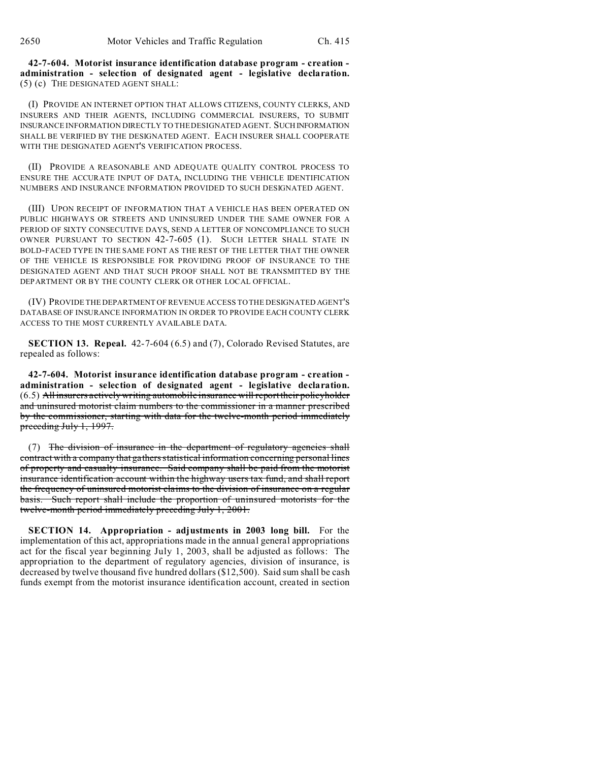**42-7-604. Motorist insurance identification database program - creation administration - selection of designated agent - legislative declaration.** (5) (c) THE DESIGNATED AGENT SHALL:

(I) PROVIDE AN INTERNET OPTION THAT ALLOWS CITIZENS, COUNTY CLERKS, AND INSURERS AND THEIR AGENTS, INCLUDING COMMERCIAL INSURERS, TO SUBMIT INSURANCE INFORMATION DIRECTLY TO THE DESIGNATED AGENT. SUCH INFORMATION SHALL BE VERIFIED BY THE DESIGNATED AGENT. EACH INSURER SHALL COOPERATE WITH THE DESIGNATED AGENT'S VERIFICATION PROCESS.

(II) PROVIDE A REASONABLE AND ADEQUATE QUALITY CONTROL PROCESS TO ENSURE THE ACCURATE INPUT OF DATA, INCLUDING THE VEHICLE IDENTIFICATION NUMBERS AND INSURANCE INFORMATION PROVIDED TO SUCH DESIGNATED AGENT.

(III) UPON RECEIPT OF INFORMATION THAT A VEHICLE HAS BEEN OPERATED ON PUBLIC HIGHWAYS OR STREETS AND UNINSURED UNDER THE SAME OWNER FOR A PERIOD OF SIXTY CONSECUTIVE DAYS, SEND A LETTER OF NONCOMPLIANCE TO SUCH OWNER PURSUANT TO SECTION 42-7-605 (1). SUCH LETTER SHALL STATE IN BOLD-FACED TYPE IN THE SAME FONT AS THE REST OF THE LETTER THAT THE OWNER OF THE VEHICLE IS RESPONSIBLE FOR PROVIDING PROOF OF INSURANCE TO THE DESIGNATED AGENT AND THAT SUCH PROOF SHALL NOT BE TRANSMITTED BY THE DEPARTMENT OR BY THE COUNTY CLERK OR OTHER LOCAL OFFICIAL.

(IV) PROVIDE THE DEPARTMENT OF REVENUE ACCESS TO THE DESIGNATED AGENT'S DATABASE OF INSURANCE INFORMATION IN ORDER TO PROVIDE EACH COUNTY CLERK ACCESS TO THE MOST CURRENTLY AVAILABLE DATA.

**SECTION 13. Repeal.** 42-7-604 (6.5) and (7), Colorado Revised Statutes, are repealed as follows:

**42-7-604. Motorist insurance identification database program - creation administration - selection of designated agent - legislative declaration.** (6.5) All insurers actively writing automobile insurance will report their policyholder and uninsured motorist claim numbers to the commissioner in a manner prescribed by the commissioner, starting with data for the twelve-month period immediately preceding July 1, 1997.

(7) The division of insurance in the department of regulatory agencies shall contract with a company that gathers statistical information concerning personal lines of property and casualty insurance. Said company shall be paid from the motorist insurance identification account within the highway users tax fund, and shall report the frequency of uninsured motorist claims to the division of insurance on a regular basis. Such report shall include the proportion of uninsured motorists for the twelve-month period immediately preceding July 1, 2001.

**SECTION 14. Appropriation - adjustments in 2003 long bill.** For the implementation of this act, appropriations made in the annual general appropriations act for the fiscal year beginning July 1, 2003, shall be adjusted as follows: The appropriation to the department of regulatory agencies, division of insurance, is decreased by twelve thousand five hundred dollars (\$12,500). Said sum shall be cash funds exempt from the motorist insurance identification account, created in section